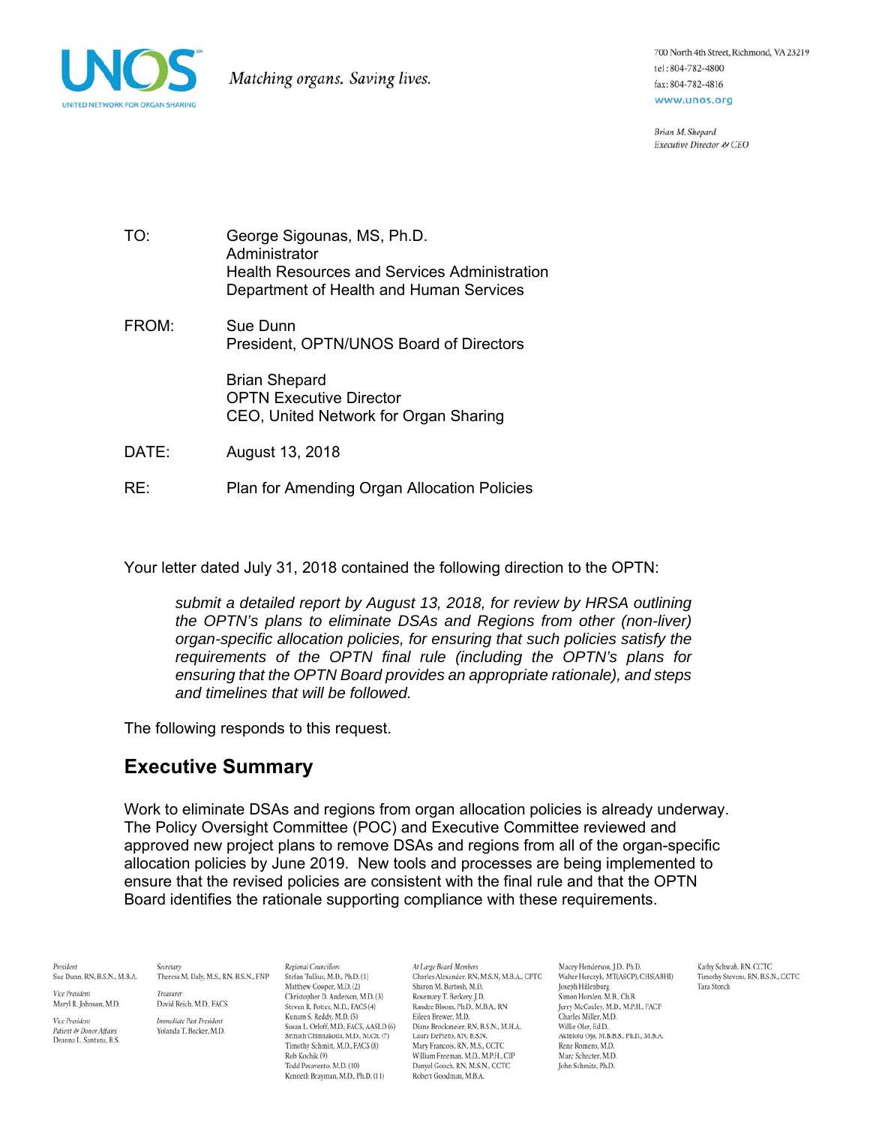

700 North 4th Street, Richmond, VA 23219 tel: 804-782-4800 fax: 804-782-4816 www.unos.org

Brian M. Shepard Executive Director & CEO

- TO: George Sigounas, MS, Ph.D. Administrator Health Resources and Services Administration Department of Health and Human Services
- FROM: Sue Dunn President, OPTN/UNOS Board of Directors

Brian Shepard OPTN Executive Director CEO, United Network for Organ Sharing

- DATE: August 13, 2018
- RE: Plan for Amending Organ Allocation Policies

Your letter dated July 31, 2018 contained the following direction to the OPTN:

*submit a detailed report by August 13, 2018, for review by HRSA outlining the OPTN's plans to eliminate DSAs and Regions from other (non-liver) organ-specific allocation policies, for ensuring that such policies satisfy the requirements of the OPTN final rule (including the OPTN's plans for ensuring that the OPTN Board provides an appropriate rationale), and steps and timelines that will be followed.* 

The following responds to this request.

### **Executive Summary**

Work to eliminate DSAs and regions from organ allocation policies is already underway. The Policy Oversight Committee (POC) and Executive Committee reviewed and approved new project plans to remove DSAs and regions from all of the organ-specific allocation policies by June 2019. New tools and processes are being implemented to ensure that the revised policies are consistent with the final rule and that the OPTN Board identifies the rationale supporting compliance with these requirements.

President Sue Dunn, RN, B.S.N., M.B.A.

Theresa M. Daly, M.S., RN, B.S.N., FNP Treasurer

Secretary

Maryl R. Johnson, M.D.

Vice President

Vice President Patient es Donor Affairs Deanna L. Santana, B.S. David Reich, M.D., FACS

Immediate Past President Yolanda T. Becker, M.D.

Regional Councillors Stefan Tullius, M.D., Ph.D. (1) Matthew Cooper, M.D. (2)<br>Christopher D. Anderson, M.D. (3) Steven R. Potter, M.D., FACS (4) Kunam S. Reddy, M.D. (5) Susan L. Orloff, M.D., FACS, AASLD (6) Srinath Chinnakotla, M.D., M.Ch. (7) Timothy Schmitt, M.D. FACS (8) Rob Kochik (9) Todd Pesavento, M.D. (10) Kenneth Brayman, M.D., Ph.D. (11)

At Large Board Members Charles Alexander, RN, M.S.N, M.B.A., CPTC Sharon M. Bartosh, M.D. Rosemary T. Berkery, I.D. Randee Bloom, Ph.D., M.B.A., RN Eileen Brewer, M.D. Diane Brockmeier, RN, B.S.N., M.H.A. Laura DePiero, RN, B.S.N. Mary Francois, RN, M.S., CCTC William Freeman, M.D., M.P.H., CIP Danyel Gooch, RN, M.S.N., CCTC Robert Goodman, M.B.A.

Macey Henderson, I.D., Ph.D. Walter Herczyk, MT(ASCP), CHS(ABHI) Joseph Hillenburg<br>Simon Horslen, M.B., Ch.B. Jerry McCauley, M.D., M.P.H., FACP Charles Miller, M.D. Willie Oler, Ed.D. Akinlolu Ojo, M.B.B.S., Ph.D., M.B.A. Rene Romero, M.D. Marc Schecter, M.D. John Schmitz, Ph.D.

Kathy Schwab, RN, CCTC Timothy Stevens, RN, B.S.N., CCTC Tara Storch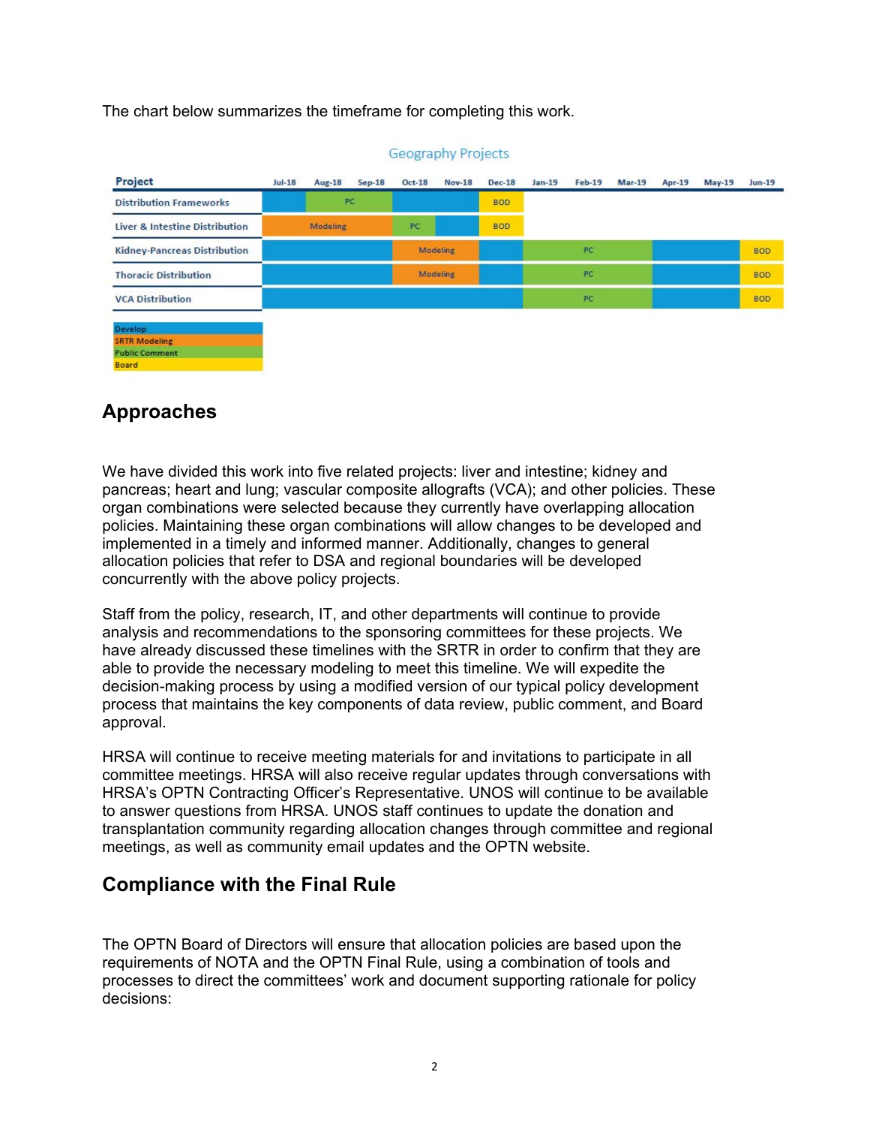The chart below summarizes the timeframe for completing this work.

| Project                               | $Jul-18$ | <b>Aug-18</b> | $Sep-18$ | <b>Oct-18</b> | <b>Nov-18</b>   | <b>Dec-18</b> | $Jan-19$ | <b>Feb-19</b> | <b>Mar-19</b> | Apr-19 | $May-19$ | <b>Jun-19</b> |
|---------------------------------------|----------|---------------|----------|---------------|-----------------|---------------|----------|---------------|---------------|--------|----------|---------------|
| <b>Distribution Frameworks</b>        |          | PC            |          |               |                 | <b>BOD</b>    |          |               |               |        |          |               |
| Liver & Intestine Distribution        |          | Modeling      |          | PC            |                 | <b>BOD</b>    |          |               |               |        |          |               |
| <b>Kidney-Pancreas Distribution</b>   |          |               |          |               | <b>Modeling</b> |               |          | PC            |               |        |          | <b>BOD</b>    |
| <b>Thoracic Distribution</b>          |          |               |          |               | <b>Modeling</b> |               | PC       |               |               |        |          | <b>BOD</b>    |
| <b>VCA Distribution</b>               |          |               |          |               |                 |               |          | PC.           |               |        |          | <b>BOD</b>    |
| Develop.                              |          |               |          |               |                 |               |          |               |               |        |          |               |
| <b>SRTR Modeling</b>                  |          |               |          |               |                 |               |          |               |               |        |          |               |
| <b>Public Comment</b><br><b>Board</b> |          |               |          |               |                 |               |          |               |               |        |          |               |

#### **Geography Projects**

## **Approaches**

We have divided this work into five related projects: liver and intestine; kidney and pancreas; heart and lung; vascular composite allografts (VCA); and other policies. These organ combinations were selected because they currently have overlapping allocation policies. Maintaining these organ combinations will allow changes to be developed and implemented in a timely and informed manner. Additionally, changes to general allocation policies that refer to DSA and regional boundaries will be developed concurrently with the above policy projects.

Staff from the policy, research, IT, and other departments will continue to provide analysis and recommendations to the sponsoring committees for these projects. We have already discussed these timelines with the SRTR in order to confirm that they are able to provide the necessary modeling to meet this timeline. We will expedite the decision-making process by using a modified version of our typical policy development process that maintains the key components of data review, public comment, and Board approval.

HRSA will continue to receive meeting materials for and invitations to participate in all committee meetings. HRSA will also receive regular updates through conversations with HRSA's OPTN Contracting Officer's Representative. UNOS will continue to be available to answer questions from HRSA. UNOS staff continues to update the donation and transplantation community regarding allocation changes through committee and regional meetings, as well as community email updates and the OPTN website.

### **Compliance with the Final Rule**

The OPTN Board of Directors will ensure that allocation policies are based upon the requirements of NOTA and the OPTN Final Rule, using a combination of tools and processes to direct the committees' work and document supporting rationale for policy decisions: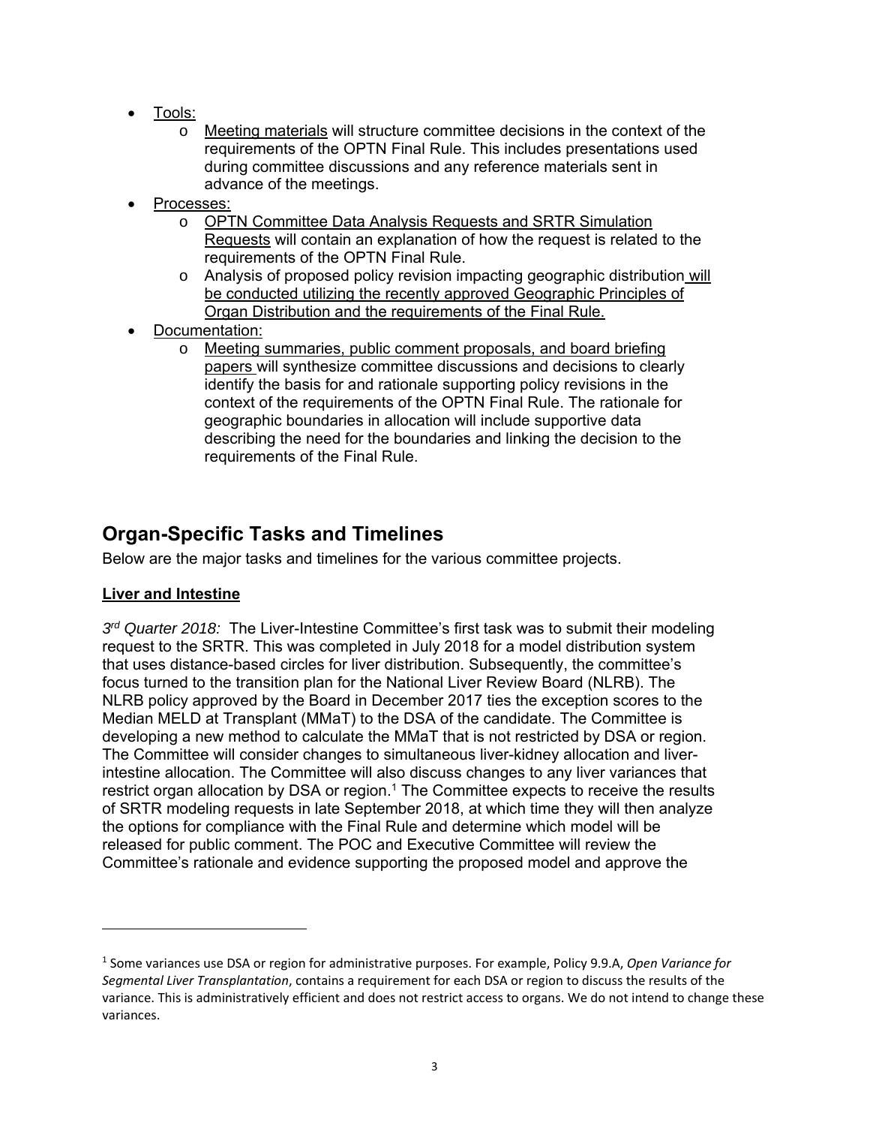- Tools:
	- o Meeting materials will structure committee decisions in the context of the requirements of the OPTN Final Rule. This includes presentations used during committee discussions and any reference materials sent in advance of the meetings.
- Processes:
	- o OPTN Committee Data Analysis Requests and SRTR Simulation Requests will contain an explanation of how the request is related to the requirements of the OPTN Final Rule.
	- o Analysis of proposed policy revision impacting geographic distribution will be conducted utilizing the recently approved Geographic Principles of Organ Distribution and the requirements of the Final Rule.
- Documentation:
	- o Meeting summaries, public comment proposals, and board briefing papers will synthesize committee discussions and decisions to clearly identify the basis for and rationale supporting policy revisions in the context of the requirements of the OPTN Final Rule. The rationale for geographic boundaries in allocation will include supportive data describing the need for the boundaries and linking the decision to the requirements of the Final Rule.

## **Organ-Specific Tasks and Timelines**

Below are the major tasks and timelines for the various committee projects.

### **Liver and Intestine**

*3rd Quarter 2018:* The Liver-Intestine Committee's first task was to submit their modeling request to the SRTR. This was completed in July 2018 for a model distribution system that uses distance-based circles for liver distribution. Subsequently, the committee's focus turned to the transition plan for the National Liver Review Board (NLRB). The NLRB policy approved by the Board in December 2017 ties the exception scores to the Median MELD at Transplant (MMaT) to the DSA of the candidate. The Committee is developing a new method to calculate the MMaT that is not restricted by DSA or region. The Committee will consider changes to simultaneous liver-kidney allocation and liverintestine allocation. The Committee will also discuss changes to any liver variances that restrict organ allocation by DSA or region.<sup>1</sup> The Committee expects to receive the results of SRTR modeling requests in late September 2018, at which time they will then analyze the options for compliance with the Final Rule and determine which model will be released for public comment. The POC and Executive Committee will review the Committee's rationale and evidence supporting the proposed model and approve the

<sup>1</sup> Some variances use DSA or region for administrative purposes. For example, Policy 9.9.A, *Open Variance for Segmental Liver Transplantation*, contains a requirement for each DSA or region to discuss the results of the variance. This is administratively efficient and does not restrict access to organs. We do not intend to change these variances.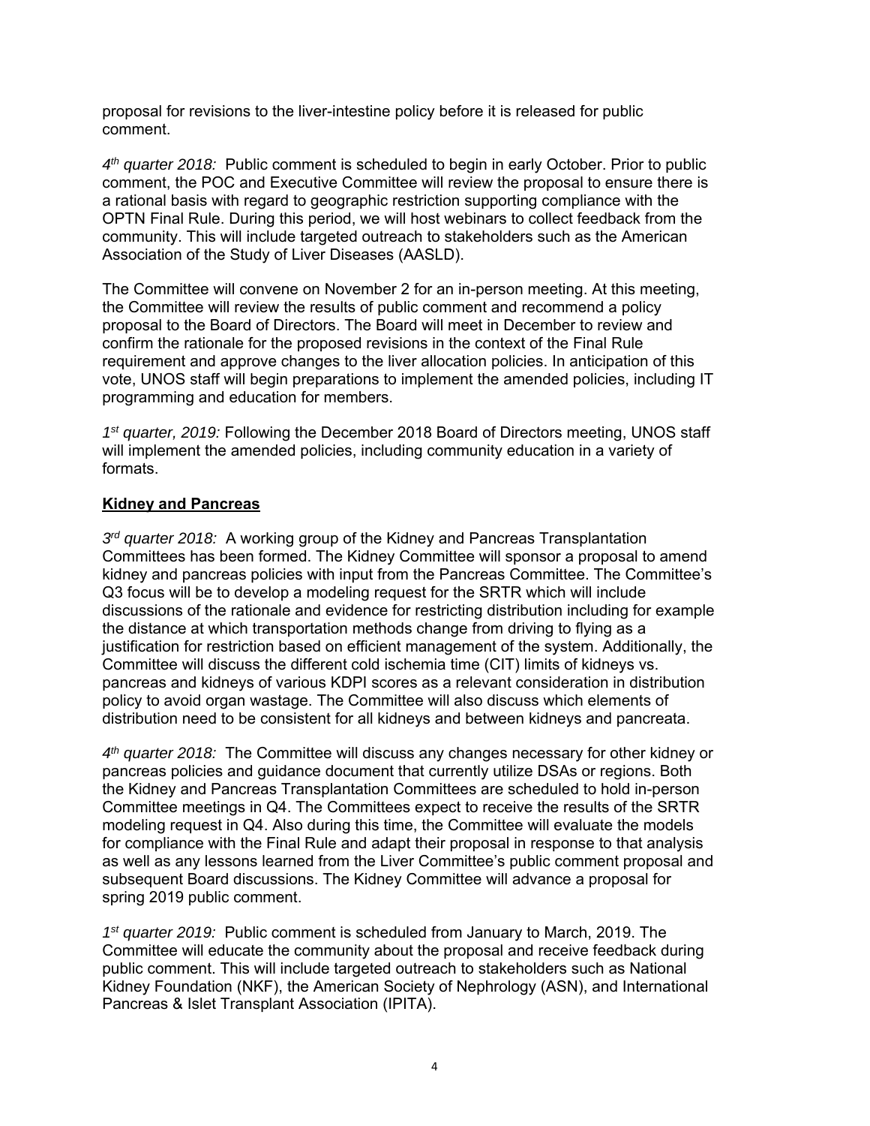proposal for revisions to the liver-intestine policy before it is released for public comment.

*4th quarter 2018:* Public comment is scheduled to begin in early October. Prior to public comment, the POC and Executive Committee will review the proposal to ensure there is a rational basis with regard to geographic restriction supporting compliance with the OPTN Final Rule. During this period, we will host webinars to collect feedback from the community. This will include targeted outreach to stakeholders such as the American Association of the Study of Liver Diseases (AASLD).

The Committee will convene on November 2 for an in-person meeting. At this meeting, the Committee will review the results of public comment and recommend a policy proposal to the Board of Directors. The Board will meet in December to review and confirm the rationale for the proposed revisions in the context of the Final Rule requirement and approve changes to the liver allocation policies. In anticipation of this vote, UNOS staff will begin preparations to implement the amended policies, including IT programming and education for members.

*1st quarter, 2019:* Following the December 2018 Board of Directors meeting, UNOS staff will implement the amended policies, including community education in a variety of formats.

#### **Kidney and Pancreas**

*3rd quarter 2018:* A working group of the Kidney and Pancreas Transplantation Committees has been formed. The Kidney Committee will sponsor a proposal to amend kidney and pancreas policies with input from the Pancreas Committee. The Committee's Q3 focus will be to develop a modeling request for the SRTR which will include discussions of the rationale and evidence for restricting distribution including for example the distance at which transportation methods change from driving to flying as a justification for restriction based on efficient management of the system. Additionally, the Committee will discuss the different cold ischemia time (CIT) limits of kidneys vs. pancreas and kidneys of various KDPI scores as a relevant consideration in distribution policy to avoid organ wastage. The Committee will also discuss which elements of distribution need to be consistent for all kidneys and between kidneys and pancreata.

*4th quarter 2018:* The Committee will discuss any changes necessary for other kidney or pancreas policies and guidance document that currently utilize DSAs or regions. Both the Kidney and Pancreas Transplantation Committees are scheduled to hold in-person Committee meetings in Q4. The Committees expect to receive the results of the SRTR modeling request in Q4. Also during this time, the Committee will evaluate the models for compliance with the Final Rule and adapt their proposal in response to that analysis as well as any lessons learned from the Liver Committee's public comment proposal and subsequent Board discussions. The Kidney Committee will advance a proposal for spring 2019 public comment.

*1st quarter 2019:* Public comment is scheduled from January to March, 2019. The Committee will educate the community about the proposal and receive feedback during public comment. This will include targeted outreach to stakeholders such as National Kidney Foundation (NKF), the American Society of Nephrology (ASN), and International Pancreas & Islet Transplant Association (IPITA).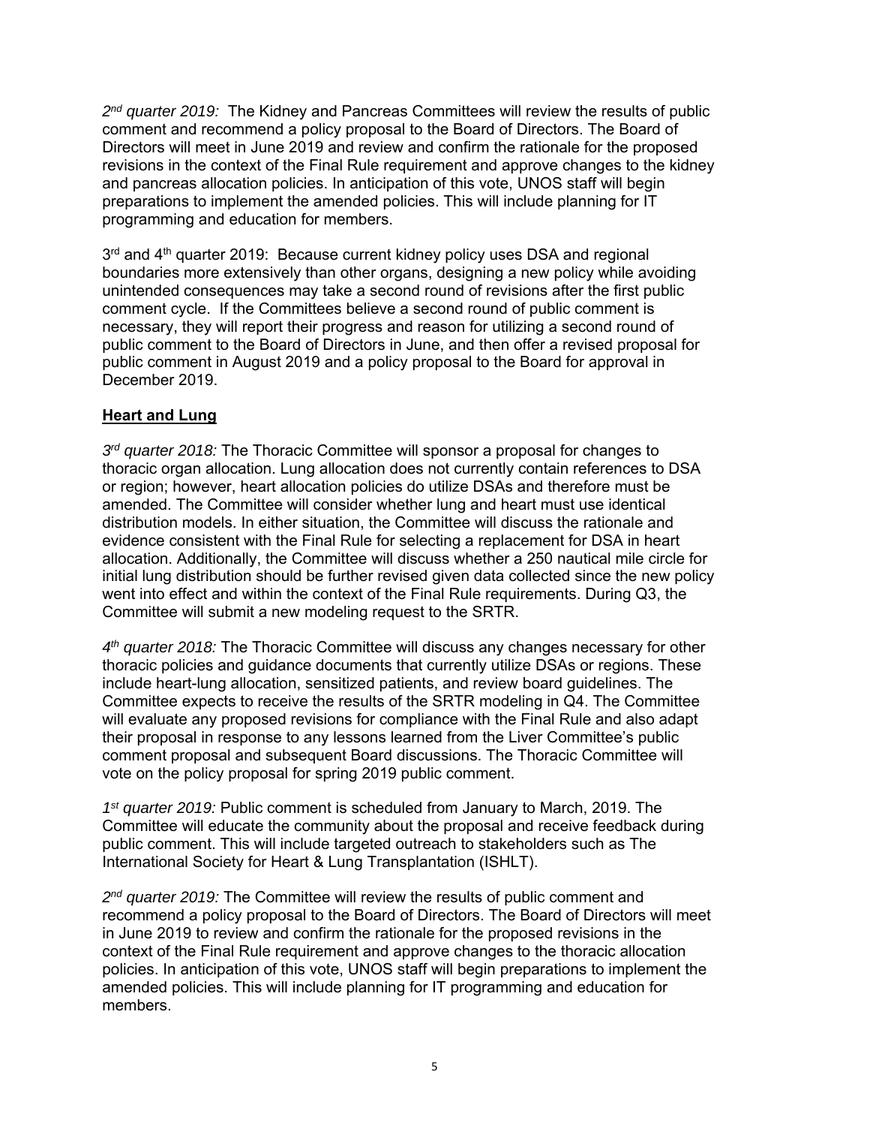*2nd quarter 2019:* The Kidney and Pancreas Committees will review the results of public comment and recommend a policy proposal to the Board of Directors. The Board of Directors will meet in June 2019 and review and confirm the rationale for the proposed revisions in the context of the Final Rule requirement and approve changes to the kidney and pancreas allocation policies. In anticipation of this vote, UNOS staff will begin preparations to implement the amended policies. This will include planning for IT programming and education for members.

3<sup>rd</sup> and 4<sup>th</sup> quarter 2019: Because current kidney policy uses DSA and regional boundaries more extensively than other organs, designing a new policy while avoiding unintended consequences may take a second round of revisions after the first public comment cycle. If the Committees believe a second round of public comment is necessary, they will report their progress and reason for utilizing a second round of public comment to the Board of Directors in June, and then offer a revised proposal for public comment in August 2019 and a policy proposal to the Board for approval in December 2019.

#### **Heart and Lung**

*3rd quarter 2018:* The Thoracic Committee will sponsor a proposal for changes to thoracic organ allocation. Lung allocation does not currently contain references to DSA or region; however, heart allocation policies do utilize DSAs and therefore must be amended. The Committee will consider whether lung and heart must use identical distribution models. In either situation, the Committee will discuss the rationale and evidence consistent with the Final Rule for selecting a replacement for DSA in heart allocation. Additionally, the Committee will discuss whether a 250 nautical mile circle for initial lung distribution should be further revised given data collected since the new policy went into effect and within the context of the Final Rule requirements. During Q3, the Committee will submit a new modeling request to the SRTR.

*4th quarter 2018:* The Thoracic Committee will discuss any changes necessary for other thoracic policies and guidance documents that currently utilize DSAs or regions. These include heart-lung allocation, sensitized patients, and review board guidelines. The Committee expects to receive the results of the SRTR modeling in Q4. The Committee will evaluate any proposed revisions for compliance with the Final Rule and also adapt their proposal in response to any lessons learned from the Liver Committee's public comment proposal and subsequent Board discussions. The Thoracic Committee will vote on the policy proposal for spring 2019 public comment.

*1st quarter 2019:* Public comment is scheduled from January to March, 2019. The Committee will educate the community about the proposal and receive feedback during public comment. This will include targeted outreach to stakeholders such as The International Society for Heart & Lung Transplantation (ISHLT).

*2nd quarter 2019:* The Committee will review the results of public comment and recommend a policy proposal to the Board of Directors. The Board of Directors will meet in June 2019 to review and confirm the rationale for the proposed revisions in the context of the Final Rule requirement and approve changes to the thoracic allocation policies. In anticipation of this vote, UNOS staff will begin preparations to implement the amended policies. This will include planning for IT programming and education for members.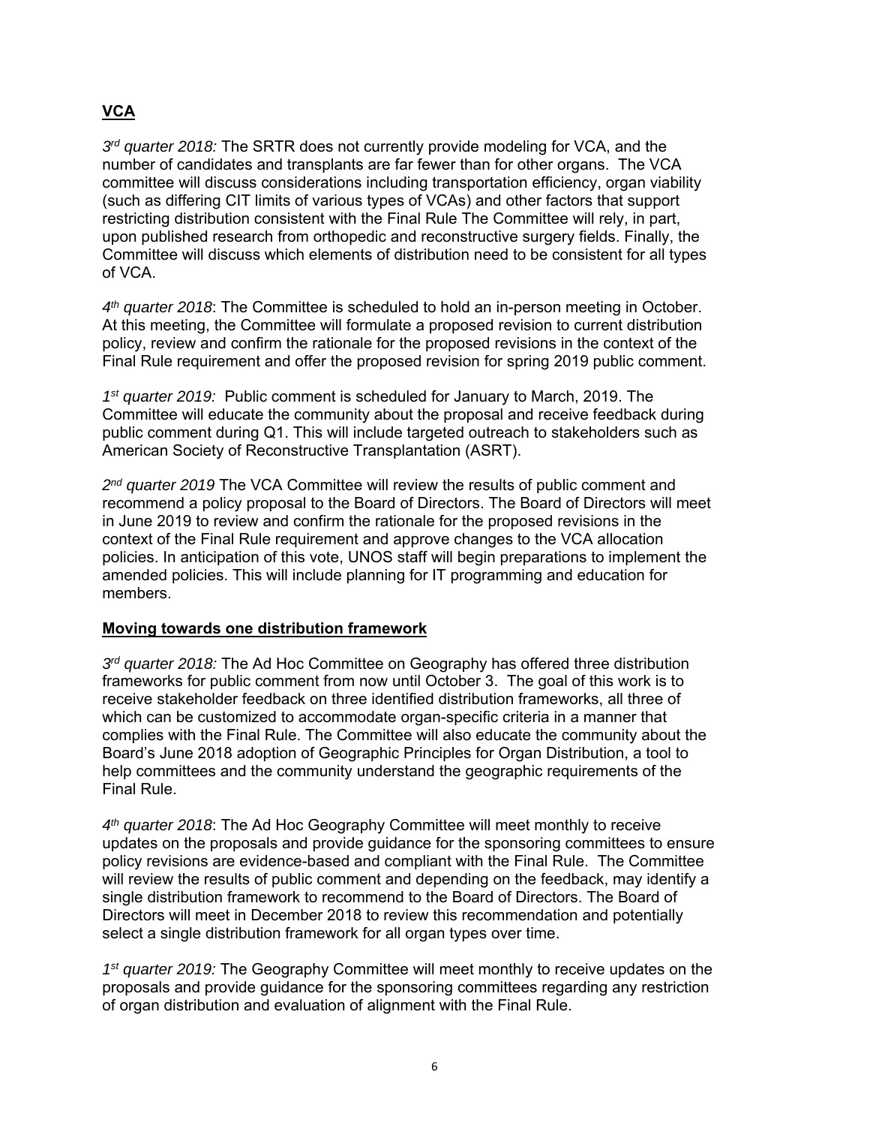### **VCA**

*3rd quarter 2018:* The SRTR does not currently provide modeling for VCA, and the number of candidates and transplants are far fewer than for other organs. The VCA committee will discuss considerations including transportation efficiency, organ viability (such as differing CIT limits of various types of VCAs) and other factors that support restricting distribution consistent with the Final Rule The Committee will rely, in part, upon published research from orthopedic and reconstructive surgery fields. Finally, the Committee will discuss which elements of distribution need to be consistent for all types of VCA.

*4th quarter 2018*: The Committee is scheduled to hold an in-person meeting in October. At this meeting, the Committee will formulate a proposed revision to current distribution policy, review and confirm the rationale for the proposed revisions in the context of the Final Rule requirement and offer the proposed revision for spring 2019 public comment.

*1st quarter 2019:* Public comment is scheduled for January to March, 2019. The Committee will educate the community about the proposal and receive feedback during public comment during Q1. This will include targeted outreach to stakeholders such as American Society of Reconstructive Transplantation (ASRT).

*2nd quarter 2019* The VCA Committee will review the results of public comment and recommend a policy proposal to the Board of Directors. The Board of Directors will meet in June 2019 to review and confirm the rationale for the proposed revisions in the context of the Final Rule requirement and approve changes to the VCA allocation policies. In anticipation of this vote, UNOS staff will begin preparations to implement the amended policies. This will include planning for IT programming and education for members.

#### **Moving towards one distribution framework**

*3rd quarter 2018:* The Ad Hoc Committee on Geography has offered three distribution frameworks for public comment from now until October 3. The goal of this work is to receive stakeholder feedback on three identified distribution frameworks, all three of which can be customized to accommodate organ-specific criteria in a manner that complies with the Final Rule. The Committee will also educate the community about the Board's June 2018 adoption of Geographic Principles for Organ Distribution, a tool to help committees and the community understand the geographic requirements of the Final Rule.

*4th quarter 2018*: The Ad Hoc Geography Committee will meet monthly to receive updates on the proposals and provide guidance for the sponsoring committees to ensure policy revisions are evidence-based and compliant with the Final Rule. The Committee will review the results of public comment and depending on the feedback, may identify a single distribution framework to recommend to the Board of Directors. The Board of Directors will meet in December 2018 to review this recommendation and potentially select a single distribution framework for all organ types over time.

*1st quarter 2019:* The Geography Committee will meet monthly to receive updates on the proposals and provide guidance for the sponsoring committees regarding any restriction of organ distribution and evaluation of alignment with the Final Rule.